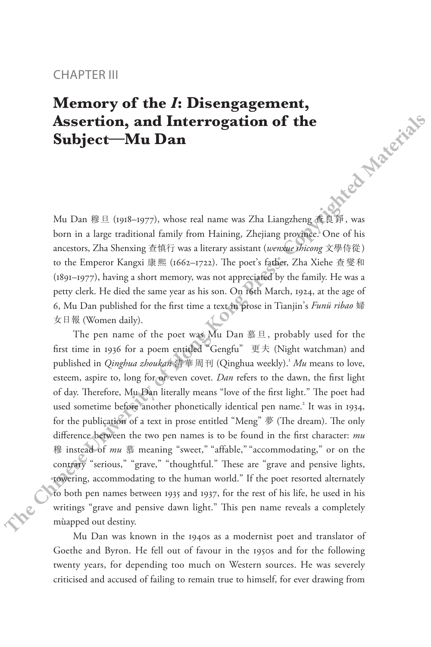## CHAPTER III

## **Memory of the** *I***: Disengagement, Assertion, and Interrogation of the Subject—Mu Dan** Mu Dan 穆旦 (1918–1977), whose real name was Zha Liangzheng 查良錚, was

born in a large traditional family from Haining, Zhejiang province. One of his ancestors, Zha Shenxing 查慎行 was a literary assistant (*wenxue shicong* 文學侍從) to the Emperor Kangxi 康熙 (1662–1722). The poet's father, Zha Xiehe 查燮和 (1891–1977), having a short memory, was not appreciated by the family. He was a petty clerk. He died the same year as his son. On 16th March, 1924, at the age of 6, Mu Dan published for the first time a text in prose in Tianjin's *Funü ribao* 婦 女日報 (Women daily).

The pen name of the poet was Mu Dan 慕旦, probably used for the first time in 1936 for a poem entitled "Gengfu" 更夫 (Night watchman) and published in *Qinghua zhoukan* 清華周刊 (Qinghua weekly).<sup>1</sup> *Mu* means to love, esteem, aspire to, long for or even covet. *Dan* refers to the dawn, the first light of day. Therefore, Mu Dan literally means "love of the first light." The poet had used sometime before another phonetically identical pen name.<sup>2</sup> It was in 1934, for the publication of a text in prose entitled "Meng" 夢 (The dream). The only difference between the two pen names is to be found in the first character: *mu* 穆 instead of *mu* 慕 meaning "sweet," "affable," "accommodating," or on the contrary "serious," "grave," "thoughtful." These are "grave and pensive lights, towering, accommodating to the human world." If the poet resorted alternately to both pen names between 1935 and 1937, for the rest of his life, he used in his writings "grave and pensive dawn light." This pen name reveals a completely mùapped out destiny. **CHAPTENTIIT**<br> **Memory of the** *I***: Disengagement,<br>
Assertion, and Interrogation of the<br>
Subject—Mu Dan<br>
Mu Dan if E. (1918–1977), whose real name was Zha Lingdreng**  $\mathbb{E}[\mathbb{H}\mathbb{H}\mathbb{H}\mathbb{H}\mathbb{V}\mathbb{W}\mathbb{R}$ **<br>
Mu Dan if E** 

Mu Dan was known in the 1940s as a modernist poet and translator of Goethe and Byron. He fell out of favour in the 1950s and for the following twenty years, for depending too much on Western sources. He was severely criticised and accused of failing to remain true to himself, for ever drawing from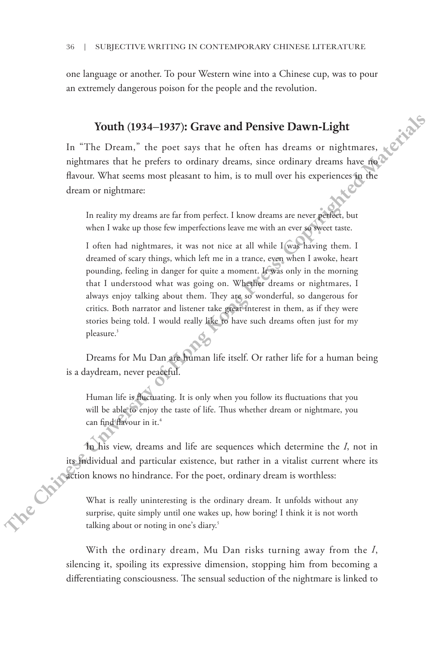one language or another. To pour Western wine into a Chinese cup, was to pour an extremely dangerous poison for the people and the revolution.

## **Youth (1934–1937): Grave and Pensive Dawn-Light**

In "The Dream," the poet says that he often has dreams or nightmares, nightmares that he prefers to ordinary dreams, since ordinary dreams have no flavour. What seems most pleasant to him, is to mull over his experiences in the dream or nightmare:

In reality my dreams are far from perfect. I know dreams are never perfect, but when I wake up those few imperfections leave me with an ever so sweet taste.

I often had nightmares, it was not nice at all while I was having them. I dreamed of scary things, which left me in a trance, even when I awoke, heart pounding, feeling in danger for quite a moment. It was only in the morning that I understood what was going on. Whether dreams or nightmares, I always enjoy talking about them. They are so wonderful, so dangerous for critics. Both narrator and listener take great interest in them, as if they were stories being told. I would really like to have such dreams often just for my pleasure.<sup>3</sup> The about or noting the state of the proper state of the proper state of the proper state of the press. The could be the stream or night<br>materially the Chinese Chinese Chinese Chinese Chinese or night that the rest of th

Dreams for Mu Dan are human life itself. Or rather life for a human being is a daydream, never peaceful.

Human life is fluctuating. It is only when you follow its fluctuations that you will be able to enjoy the taste of life. Thus whether dream or nightmare, you can find flavour in it.<sup>4</sup>

In his view, dreams and life are sequences which determine the *I*, not in its individual and particular existence, but rather in a vitalist current where its action knows no hindrance. For the poet, ordinary dream is worthless:

What is really uninteresting is the ordinary dream. It unfolds without any surprise, quite simply until one wakes up, how boring! I think it is not worth

With the ordinary dream, Mu Dan risks turning away from the *I*, silencing it, spoiling its expressive dimension, stopping him from becoming a differentiating consciousness. The sensual seduction of the nightmare is linked to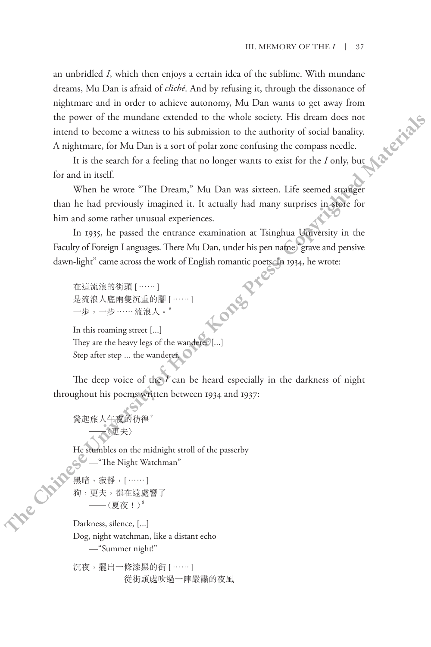an unbridled *I*, which then enjoys a certain idea of the sublime. With mundane dreams, Mu Dan is afraid of *cliché*. And by refusing it, through the dissonance of nightmare and in order to achieve autonomy, Mu Dan wants to get away from the power of the mundane extended to the whole society. His dream does not intend to become a witness to his submission to the authority of social banality. A nightmare, for Mu Dan is a sort of polar zone confusing the compass needle. **Example:**  $\alpha$ , which there exists a create of the summer with multimane and the observe a subset of the summer subset of the summer of the pressent of the multimane and in order to achieve automorphic David Natural cond

It is the search for a feeling that no longer wants to exist for the *I* only, but for and in itself.

When he wrote "The Dream," Mu Dan was sixteen. Life seemed stranger than he had previously imagined it. It actually had many surprises in store for him and some rather unusual experiences.

In 1935, he passed the entrance examination at Tsinghua University in the Faculty of Foreign Languages. There Mu Dan, under his pen name "grave and pensive dawn-light" came across the work of English romantic poets. In 1934, he wrote:

在這流浪的街頭 [……] 是流浪人底兩隻沉重的腳 [……] 一步,一步……流浪人。

In this roaming street [...] They are the heavy legs of the wanderer [...] Step after step ... the wanderer.

The deep voice of the *I* can be heard especially in the darkness of night throughout his poems written between 1934 and 1937:

驚起旅人午夜的彷徨? ─〈更夫〉

He stumbles on the midnight stroll of the passerby —"The Night Watchman"

黑暗,寂靜,[……] 狗,更夫,都在遠處響了 ─〈夏夜!〉<sup>8</sup>

Darkness, silence, [...] Dog, night watchman, like a distant echo —"Summer night!"

沉夜,擺出一條漆黑的街 [……] 從街頭處吹過一陣嚴肅的夜風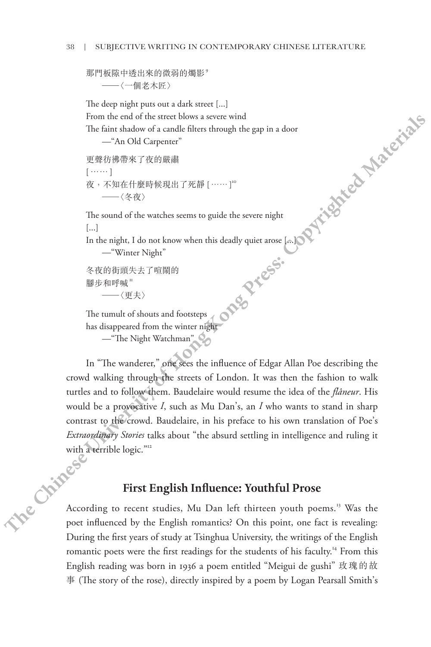那門板隙中透出來的微弱的燭影<sup>9</sup>

─〈一個老木匠〉

The deep night puts out a dark street [...] From the end of the street blows a severe wind The faint shadow of a candle filters through the gap in a door —"An Old Carpenter" 更聲彷彿帶來了夜的嚴肅 [……] 夜,不知在什麼時候現出了死靜 [……]<sup>'。</sup><br>——〈冬夜〉 The sound of the watches seems to guide the severe night [...] In the night, I do not know when this deadly quiet arose  $[$ ...] —"Winter Night" **The** decoration of a chinese section of the section of the section of the section of  $\theta$  and  $\theta$  and  $\theta$  and  $\theta$  and  $\theta$  and  $\theta$  and  $\theta$  and  $\theta$  and  $\theta$  and  $\theta$  and  $\theta$  and  $\theta$  and  $\theta$  and  $\theta$  and  $\theta$  and

```
冬夜的街頭失去了喧鬧的
腳步和呼喊"<br>——〈更夫〉
```
The tumult of shouts and footsteps has disappeared from the winter night

—"The Night Watchman"

In "The wanderer," one sees the influence of Edgar Allan Poe describing the crowd walking through the streets of London. It was then the fashion to walk turtles and to follow them. Baudelaire would resume the idea of the *flâneur*. His would be a provocative *I*, such as Mu Dan's, an *I* who wants to stand in sharp contrast to the crowd. Baudelaire, in his preface to his own translation of Poe's with a terrible logic."<sup>12</sup>

## **First English Influence: Youthful Prose**

*Extraordinary Stories* talks about "the absurd settling in intelligence and ruling it<br>with a terrible logic."<sup>2</sup><br>**First English Influence: Youth<sup>e.</sup>**<br>According to recent stud:<br>poet in<sup>0</sup> According to recent studies, Mu Dan left thirteen youth poems.<sup>13</sup> Was the poet influenced by the English romantics? On this point, one fact is revealing: During the first years of study at Tsinghua University, the writings of the English romantic poets were the first readings for the students of his faculty.<sup>14</sup> From this English reading was born in 1936 a poem entitled "Meigui de gushi" 玫瑰的故 事 (The story of the rose), directly inspired by a poem by Logan Pearsall Smith's